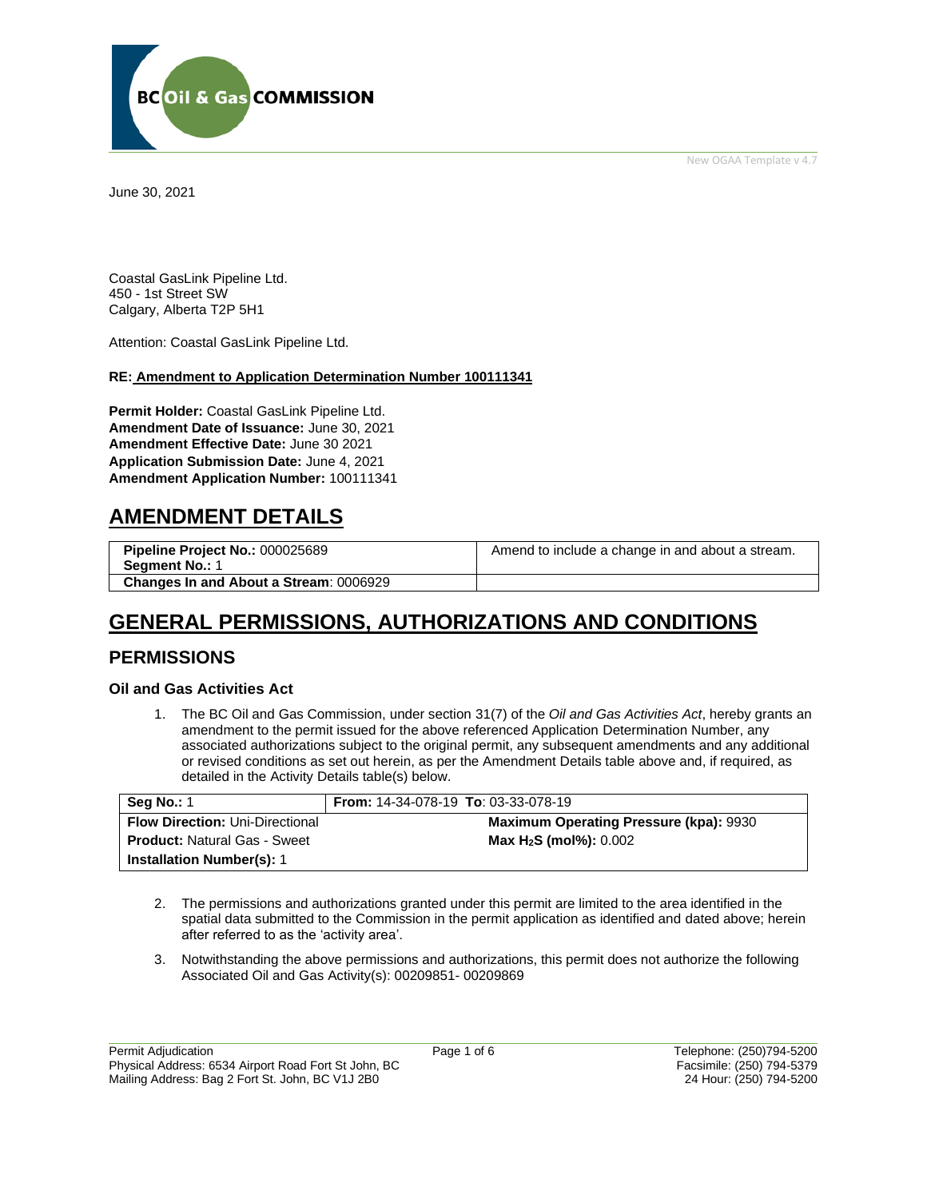New OGAA Template v 4.7



June 30, 2021

Coastal GasLink Pipeline Ltd. 450 - 1st Street SW Calgary, Alberta T2P 5H1

Attention: Coastal GasLink Pipeline Ltd.

#### **RE: Amendment to Application Determination Number 100111341**

**Permit Holder:** Coastal GasLink Pipeline Ltd. **Amendment Date of Issuance:** June 30, 2021 **Amendment Effective Date:** June 30 2021 **Application Submission Date:** June 4, 2021 **Amendment Application Number:** 100111341

## **AMENDMENT DETAILS**

| Pipeline Project No.: 000025689<br><b>Segment No.: 1</b> | Amend to include a change in and about a stream. |
|----------------------------------------------------------|--------------------------------------------------|
| <b>Changes In and About a Stream: 0006929</b>            |                                                  |

# **GENERAL PERMISSIONS, AUTHORIZATIONS AND CONDITIONS**

### **PERMISSIONS**

### **Oil and Gas Activities Act**

1. The BC Oil and Gas Commission, under section 31(7) of the *Oil and Gas Activities Act*, hereby grants an amendment to the permit issued for the above referenced Application Determination Number, any associated authorizations subject to the original permit, any subsequent amendments and any additional or revised conditions as set out herein, as per the Amendment Details table above and, if required, as detailed in the Activity Details table(s) below.

| <b>Seq No.: 1</b>                      | <b>From:</b> $14-34-078-19$ <b>To</b> : $03-33-078-19$ |
|----------------------------------------|--------------------------------------------------------|
| <b>Flow Direction: Uni-Directional</b> | <b>Maximum Operating Pressure (kpa): 9930</b>          |
| <b>Product: Natural Gas - Sweet</b>    | Max H <sub>2</sub> S (mol%): 0.002                     |
| <b>Installation Number(s): 1</b>       |                                                        |

- 2. The permissions and authorizations granted under this permit are limited to the area identified in the spatial data submitted to the Commission in the permit application as identified and dated above; herein after referred to as the 'activity area'.
- 3. Notwithstanding the above permissions and authorizations, this permit does not authorize the following Associated Oil and Gas Activity(s): 00209851- 00209869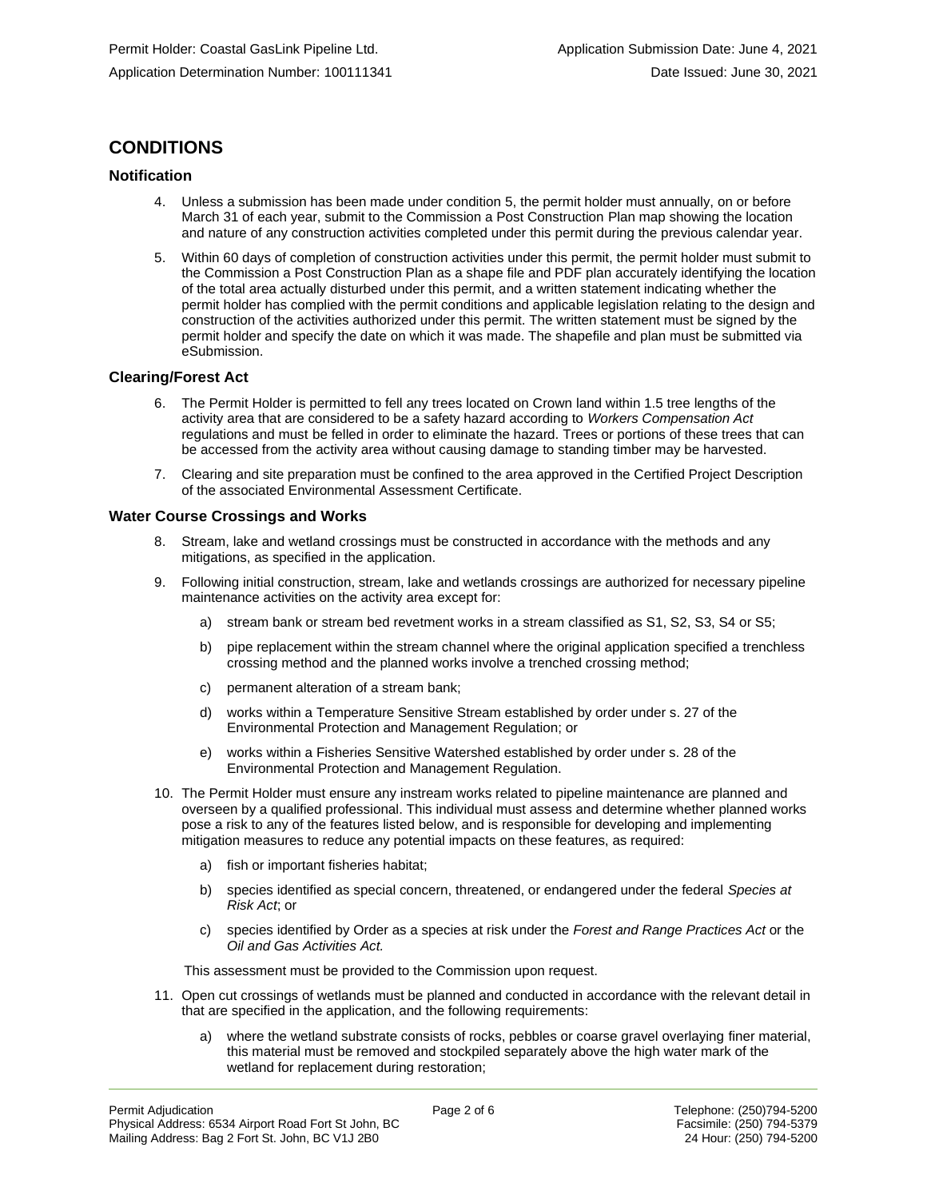## **CONDITIONS**

### **Notification**

- 4. Unless a submission has been made under condition 5, the permit holder must annually, on or before March 31 of each year, submit to the Commission a Post Construction Plan map showing the location and nature of any construction activities completed under this permit during the previous calendar year.
- 5. Within 60 days of completion of construction activities under this permit, the permit holder must submit to the Commission a Post Construction Plan as a shape file and PDF plan accurately identifying the location of the total area actually disturbed under this permit, and a written statement indicating whether the permit holder has complied with the permit conditions and applicable legislation relating to the design and construction of the activities authorized under this permit. The written statement must be signed by the permit holder and specify the date on which it was made. The shapefile and plan must be submitted via eSubmission.

#### **Clearing/Forest Act**

- 6. The Permit Holder is permitted to fell any trees located on Crown land within 1.5 tree lengths of the activity area that are considered to be a safety hazard according to *Workers Compensation Act*  regulations and must be felled in order to eliminate the hazard. Trees or portions of these trees that can be accessed from the activity area without causing damage to standing timber may be harvested.
- 7. Clearing and site preparation must be confined to the area approved in the Certified Project Description of the associated Environmental Assessment Certificate.

#### **Water Course Crossings and Works**

- 8. Stream, lake and wetland crossings must be constructed in accordance with the methods and any mitigations, as specified in the application.
- 9. Following initial construction, stream, lake and wetlands crossings are authorized for necessary pipeline maintenance activities on the activity area except for:
	- a) stream bank or stream bed revetment works in a stream classified as S1, S2, S3, S4 or S5;
	- b) pipe replacement within the stream channel where the original application specified a trenchless crossing method and the planned works involve a trenched crossing method;
	- c) permanent alteration of a stream bank;
	- d) works within a Temperature Sensitive Stream established by order under s. 27 of the Environmental Protection and Management Regulation; or
	- e) works within a Fisheries Sensitive Watershed established by order under s. 28 of the Environmental Protection and Management Regulation.
- 10. The Permit Holder must ensure any instream works related to pipeline maintenance are planned and overseen by a qualified professional. This individual must assess and determine whether planned works pose a risk to any of the features listed below, and is responsible for developing and implementing mitigation measures to reduce any potential impacts on these features, as required:
	- a) fish or important fisheries habitat;
	- b) species identified as special concern, threatened, or endangered under the federal *Species at Risk Act*; or
	- c) species identified by Order as a species at risk under the *Forest and Range Practices Act* or the *Oil and Gas Activities Act.*

This assessment must be provided to the Commission upon request.

- 11. Open cut crossings of wetlands must be planned and conducted in accordance with the relevant detail in that are specified in the application, and the following requirements:
	- a) where the wetland substrate consists of rocks, pebbles or coarse gravel overlaying finer material, this material must be removed and stockpiled separately above the high water mark of the wetland for replacement during restoration;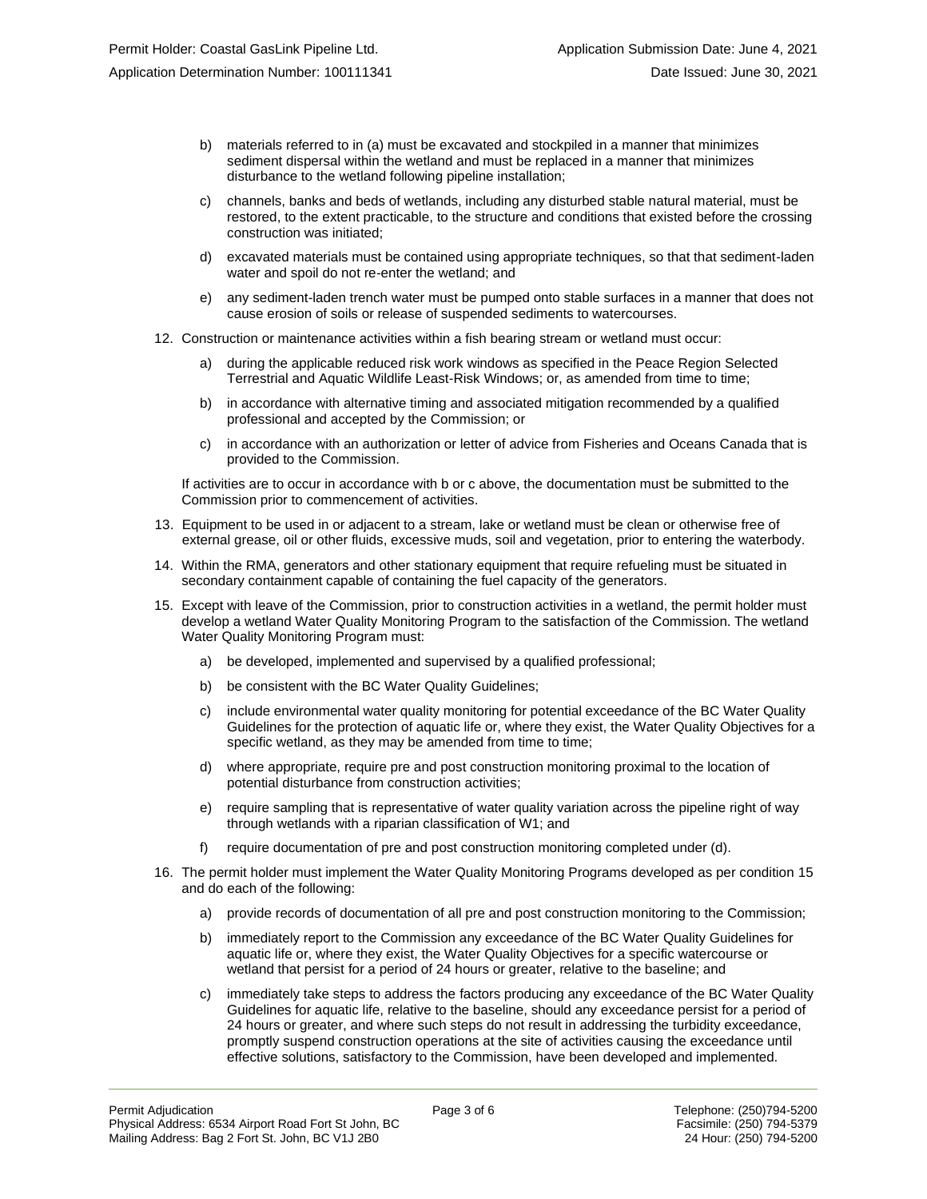- b) materials referred to in (a) must be excavated and stockpiled in a manner that minimizes sediment dispersal within the wetland and must be replaced in a manner that minimizes disturbance to the wetland following pipeline installation;
- c) channels, banks and beds of wetlands, including any disturbed stable natural material, must be restored, to the extent practicable, to the structure and conditions that existed before the crossing construction was initiated;
- d) excavated materials must be contained using appropriate techniques, so that that sediment-laden water and spoil do not re-enter the wetland; and
- e) any sediment-laden trench water must be pumped onto stable surfaces in a manner that does not cause erosion of soils or release of suspended sediments to watercourses.
- 12. Construction or maintenance activities within a fish bearing stream or wetland must occur:
	- a) during the applicable reduced risk work windows as specified in the Peace Region Selected Terrestrial and Aquatic Wildlife Least-Risk Windows; or, as amended from time to time;
	- b) in accordance with alternative timing and associated mitigation recommended by a qualified professional and accepted by the Commission; or
	- c) in accordance with an authorization or letter of advice from Fisheries and Oceans Canada that is provided to the Commission.

If activities are to occur in accordance with b or c above, the documentation must be submitted to the Commission prior to commencement of activities.

- 13. Equipment to be used in or adjacent to a stream, lake or wetland must be clean or otherwise free of external grease, oil or other fluids, excessive muds, soil and vegetation, prior to entering the waterbody.
- 14. Within the RMA, generators and other stationary equipment that require refueling must be situated in secondary containment capable of containing the fuel capacity of the generators.
- 15. Except with leave of the Commission, prior to construction activities in a wetland, the permit holder must develop a wetland Water Quality Monitoring Program to the satisfaction of the Commission. The wetland Water Quality Monitoring Program must:
	- a) be developed, implemented and supervised by a qualified professional;
	- b) be consistent with the BC Water Quality Guidelines;
	- c) include environmental water quality monitoring for potential exceedance of the BC Water Quality Guidelines for the protection of aquatic life or, where they exist, the Water Quality Objectives for a specific wetland, as they may be amended from time to time;
	- d) where appropriate, require pre and post construction monitoring proximal to the location of potential disturbance from construction activities;
	- e) require sampling that is representative of water quality variation across the pipeline right of way through wetlands with a riparian classification of W1; and
	- f) require documentation of pre and post construction monitoring completed under (d).
- 16. The permit holder must implement the Water Quality Monitoring Programs developed as per condition 15 and do each of the following:
	- a) provide records of documentation of all pre and post construction monitoring to the Commission;
	- b) immediately report to the Commission any exceedance of the BC Water Quality Guidelines for aquatic life or, where they exist, the Water Quality Objectives for a specific watercourse or wetland that persist for a period of 24 hours or greater, relative to the baseline; and
	- c) immediately take steps to address the factors producing any exceedance of the BC Water Quality Guidelines for aquatic life, relative to the baseline, should any exceedance persist for a period of 24 hours or greater, and where such steps do not result in addressing the turbidity exceedance, promptly suspend construction operations at the site of activities causing the exceedance until effective solutions, satisfactory to the Commission, have been developed and implemented.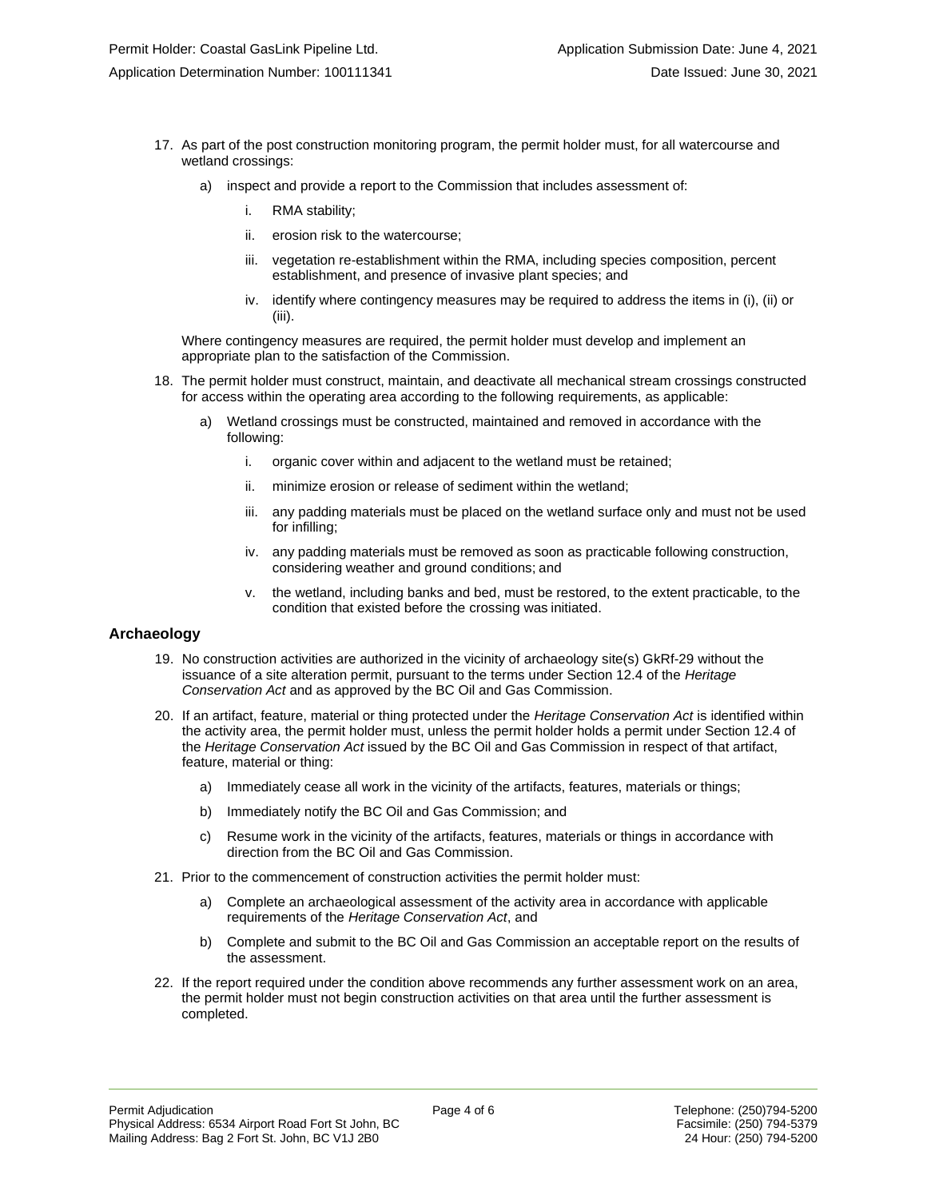- 17. As part of the post construction monitoring program, the permit holder must, for all watercourse and wetland crossings:
	- a) inspect and provide a report to the Commission that includes assessment of:
		- i. RMA stability;
		- ii. erosion risk to the watercourse;
		- iii. vegetation re-establishment within the RMA, including species composition, percent establishment, and presence of invasive plant species; and
		- iv. identify where contingency measures may be required to address the items in (i), (ii) or (iii).

Where contingency measures are required, the permit holder must develop and implement an appropriate plan to the satisfaction of the Commission.

- 18. The permit holder must construct, maintain, and deactivate all mechanical stream crossings constructed for access within the operating area according to the following requirements, as applicable:
	- a) Wetland crossings must be constructed, maintained and removed in accordance with the following:
		- i. organic cover within and adjacent to the wetland must be retained;
		- ii. minimize erosion or release of sediment within the wetland;
		- iii. any padding materials must be placed on the wetland surface only and must not be used for infilling;
		- iv. any padding materials must be removed as soon as practicable following construction, considering weather and ground conditions; and
		- v. the wetland, including banks and bed, must be restored, to the extent practicable, to the condition that existed before the crossing was initiated.

### **Archaeology**

- 19. No construction activities are authorized in the vicinity of archaeology site(s) GkRf-29 without the issuance of a site alteration permit, pursuant to the terms under Section 12.4 of the *Heritage Conservation Act* and as approved by the BC Oil and Gas Commission.
- 20. If an artifact, feature, material or thing protected under the *Heritage Conservation Act* is identified within the activity area, the permit holder must, unless the permit holder holds a permit under Section 12.4 of the *Heritage Conservation Act* issued by the BC Oil and Gas Commission in respect of that artifact, feature, material or thing:
	- a) Immediately cease all work in the vicinity of the artifacts, features, materials or things;
	- b) Immediately notify the BC Oil and Gas Commission; and
	- c) Resume work in the vicinity of the artifacts, features, materials or things in accordance with direction from the BC Oil and Gas Commission.
- 21. Prior to the commencement of construction activities the permit holder must:
	- a) Complete an archaeological assessment of the activity area in accordance with applicable requirements of the *Heritage Conservation Act*, and
	- b) Complete and submit to the BC Oil and Gas Commission an acceptable report on the results of the assessment.
- 22. If the report required under the condition above recommends any further assessment work on an area, the permit holder must not begin construction activities on that area until the further assessment is completed.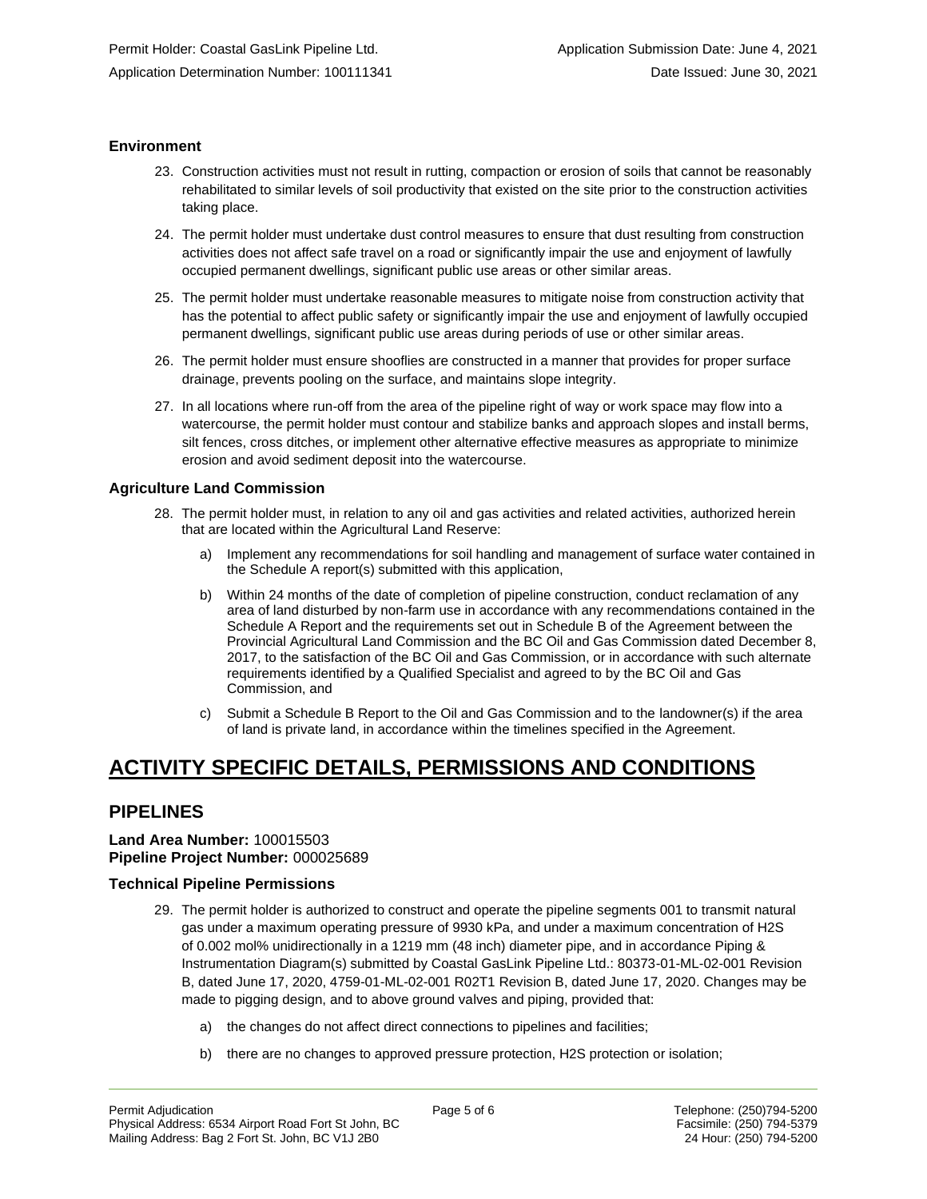### **Environment**

- 23. Construction activities must not result in rutting, compaction or erosion of soils that cannot be reasonably rehabilitated to similar levels of soil productivity that existed on the site prior to the construction activities taking place.
- 24. The permit holder must undertake dust control measures to ensure that dust resulting from construction activities does not affect safe travel on a road or significantly impair the use and enjoyment of lawfully occupied permanent dwellings, significant public use areas or other similar areas.
- 25. The permit holder must undertake reasonable measures to mitigate noise from construction activity that has the potential to affect public safety or significantly impair the use and enjoyment of lawfully occupied permanent dwellings, significant public use areas during periods of use or other similar areas.
- 26. The permit holder must ensure shooflies are constructed in a manner that provides for proper surface drainage, prevents pooling on the surface, and maintains slope integrity.
- 27. In all locations where run-off from the area of the pipeline right of way or work space may flow into a watercourse, the permit holder must contour and stabilize banks and approach slopes and install berms, silt fences, cross ditches, or implement other alternative effective measures as appropriate to minimize erosion and avoid sediment deposit into the watercourse.

### **Agriculture Land Commission**

- 28. The permit holder must, in relation to any oil and gas activities and related activities, authorized herein that are located within the Agricultural Land Reserve:
	- a) Implement any recommendations for soil handling and management of surface water contained in the Schedule A report(s) submitted with this application,
	- b) Within 24 months of the date of completion of pipeline construction, conduct reclamation of any area of land disturbed by non-farm use in accordance with any recommendations contained in the Schedule A Report and the requirements set out in Schedule B of the Agreement between the Provincial Agricultural Land Commission and the BC Oil and Gas Commission dated December 8, 2017, to the satisfaction of the BC Oil and Gas Commission, or in accordance with such alternate requirements identified by a Qualified Specialist and agreed to by the BC Oil and Gas Commission, and
	- c) Submit a Schedule B Report to the Oil and Gas Commission and to the landowner(s) if the area of land is private land, in accordance within the timelines specified in the Agreement.

# **ACTIVITY SPECIFIC DETAILS, PERMISSIONS AND CONDITIONS**

### **PIPELINES**

### **Land Area Number:** 100015503 **Pipeline Project Number:** 000025689

### **Technical Pipeline Permissions**

- 29. The permit holder is authorized to construct and operate the pipeline segments 001 to transmit natural gas under a maximum operating pressure of 9930 kPa, and under a maximum concentration of H2S of 0.002 mol% unidirectionally in a 1219 mm (48 inch) diameter pipe, and in accordance Piping & Instrumentation Diagram(s) submitted by Coastal GasLink Pipeline Ltd.: 80373-01-ML-02-001 Revision B, dated June 17, 2020, 4759-01-ML-02-001 R02T1 Revision B, dated June 17, 2020. Changes may be made to pigging design, and to above ground valves and piping, provided that:
	- a) the changes do not affect direct connections to pipelines and facilities;
	- b) there are no changes to approved pressure protection, H2S protection or isolation;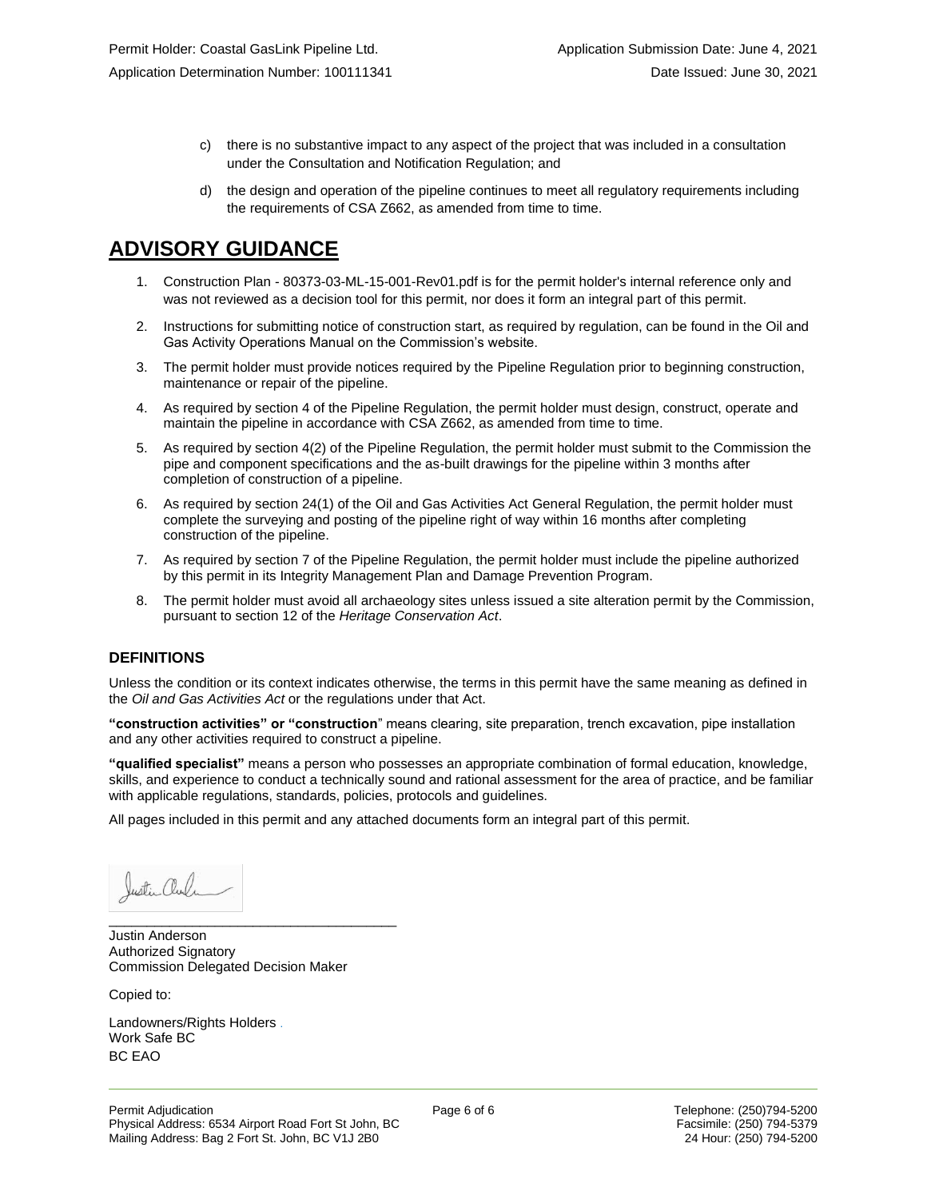- c) there is no substantive impact to any aspect of the project that was included in a consultation under the Consultation and Notification Regulation; and
- d) the design and operation of the pipeline continues to meet all regulatory requirements including the requirements of CSA Z662, as amended from time to time.

# **ADVISORY GUIDANCE**

- 1. Construction Plan 80373-03-ML-15-001-Rev01.pdf is for the permit holder's internal reference only and was not reviewed as a decision tool for this permit, nor does it form an integral part of this permit.
- 2. Instructions for submitting notice of construction start, as required by regulation, can be found in the Oil and Gas Activity Operations Manual on the Commission's website.
- 3. The permit holder must provide notices required by the Pipeline Regulation prior to beginning construction, maintenance or repair of the pipeline.
- 4. As required by section 4 of the Pipeline Regulation, the permit holder must design, construct, operate and maintain the pipeline in accordance with CSA Z662, as amended from time to time.
- 5. As required by section 4(2) of the Pipeline Regulation, the permit holder must submit to the Commission the pipe and component specifications and the as-built drawings for the pipeline within 3 months after completion of construction of a pipeline.
- 6. As required by section 24(1) of the Oil and Gas Activities Act General Regulation, the permit holder must complete the surveying and posting of the pipeline right of way within 16 months after completing construction of the pipeline.
- 7. As required by section 7 of the Pipeline Regulation, the permit holder must include the pipeline authorized by this permit in its Integrity Management Plan and Damage Prevention Program.
- 8. The permit holder must avoid all archaeology sites unless issued a site alteration permit by the Commission, pursuant to section 12 of the *Heritage Conservation Act*.

### **DEFINITIONS**

Unless the condition or its context indicates otherwise, the terms in this permit have the same meaning as defined in the *Oil and Gas Activities Act* or the regulations under that Act.

**"construction activities" or "construction**" means clearing, site preparation, trench excavation, pipe installation and any other activities required to construct a pipeline.

**"qualified specialist"** means a person who possesses an appropriate combination of formal education, knowledge, skills, and experience to conduct a technically sound and rational assessment for the area of practice, and be familiar with applicable regulations, standards, policies, protocols and guidelines.

All pages included in this permit and any attached documents form an integral part of this permit.

Justin aul

\_\_\_\_\_\_\_\_\_\_\_\_\_\_\_\_\_\_\_\_\_\_\_\_\_\_\_\_\_\_\_\_\_\_\_\_\_\_ Justin Anderson Authorized Signatory Commission Delegated Decision Maker

Copied to:

Landowners/Rights Holders . Work Safe BC BC EAO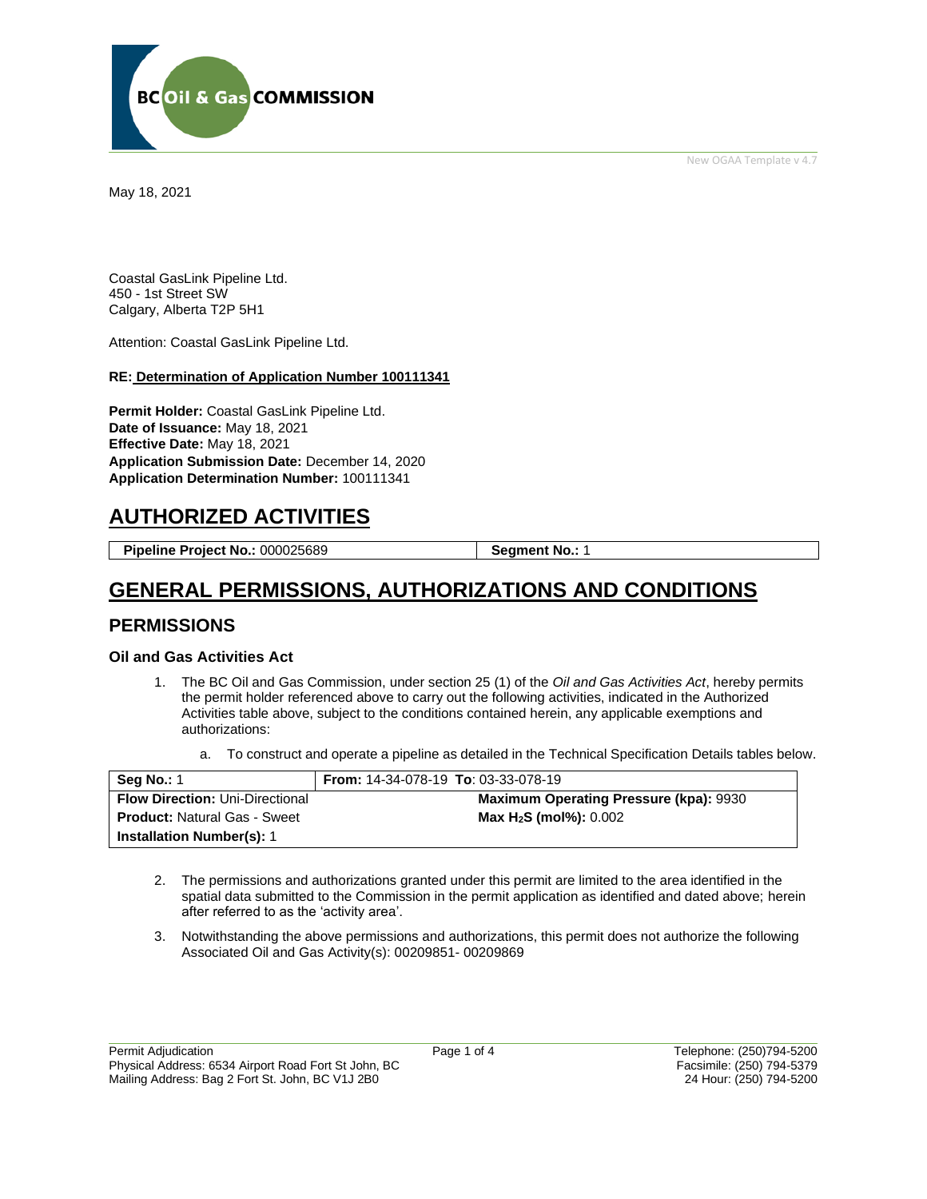New OGAA Template v 4.7



May 18, 2021

Coastal GasLink Pipeline Ltd. 450 - 1st Street SW Calgary, Alberta T2P 5H1

Attention: Coastal GasLink Pipeline Ltd.

#### **RE: Determination of Application Number 100111341**

**Permit Holder:** Coastal GasLink Pipeline Ltd. **Date of Issuance:** May 18, 2021 **Effective Date:** May 18, 2021 **Application Submission Date:** December 14, 2020 **Application Determination Number:** 100111341

# **AUTHORIZED ACTIVITIES**

**Pipeline Project No.: 000025689 | Segment No.: 1** 

# **GENERAL PERMISSIONS, AUTHORIZATIONS AND CONDITIONS**

### **PERMISSIONS**

### **Oil and Gas Activities Act**

- 1. The BC Oil and Gas Commission, under section 25 (1) of the *Oil and Gas Activities Act*, hereby permits the permit holder referenced above to carry out the following activities, indicated in the Authorized Activities table above, subject to the conditions contained herein, any applicable exemptions and authorizations:
	- a. To construct and operate a pipeline as detailed in the Technical Specification Details tables below.

| <b>Seg No.: 1</b>                      | <b>From: 14-34-078-19 To: 03-33-078-19</b>    |
|----------------------------------------|-----------------------------------------------|
| <b>Flow Direction: Uni-Directional</b> | <b>Maximum Operating Pressure (kpa): 9930</b> |
| <b>Product: Natural Gas - Sweet</b>    | Max $H_2S$ (mol%): $0.002$                    |
| <b>Installation Number(s): 1</b>       |                                               |

- 2. The permissions and authorizations granted under this permit are limited to the area identified in the spatial data submitted to the Commission in the permit application as identified and dated above; herein after referred to as the 'activity area'.
- 3. Notwithstanding the above permissions and authorizations, this permit does not authorize the following Associated Oil and Gas Activity(s): 00209851- 00209869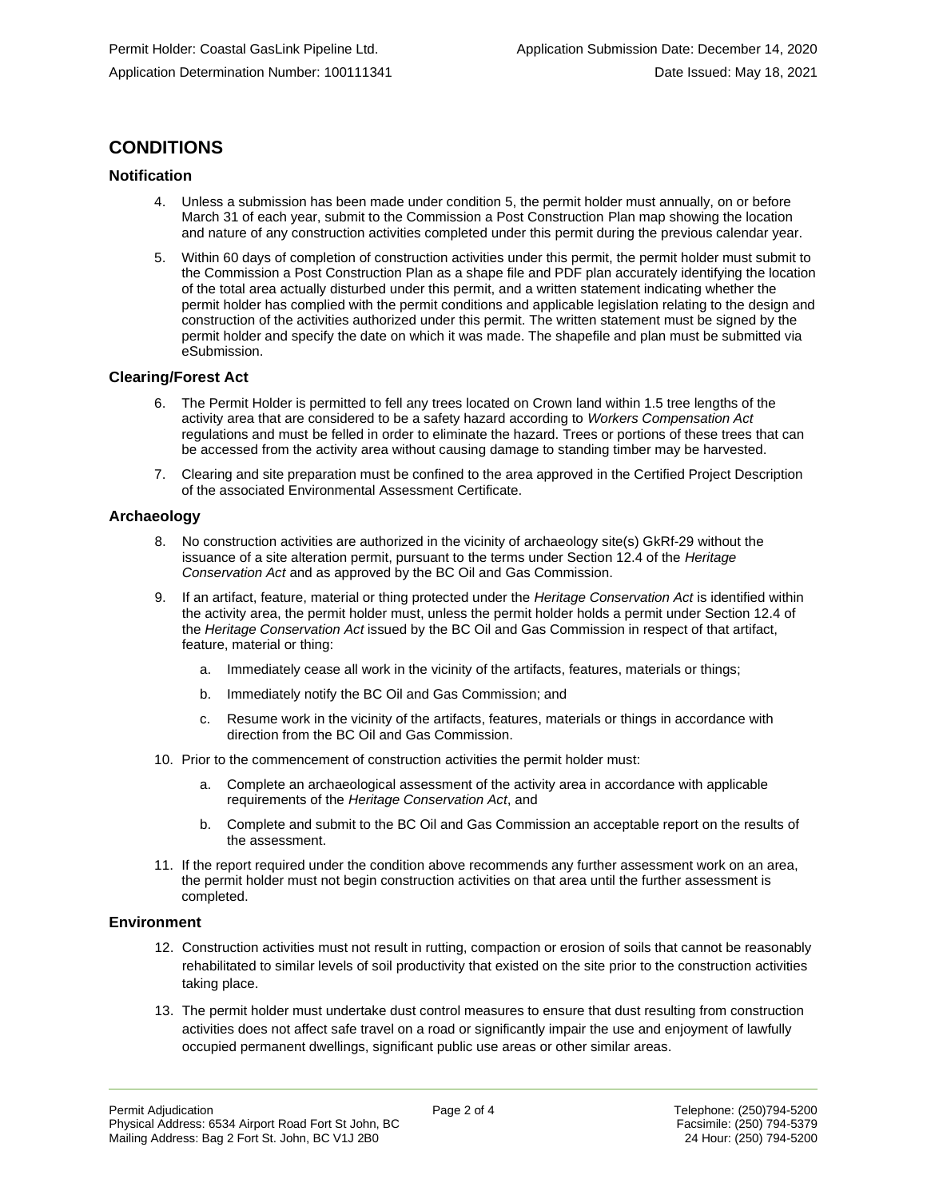## **CONDITIONS**

### **Notification**

- 4. Unless a submission has been made under condition 5, the permit holder must annually, on or before March 31 of each year, submit to the Commission a Post Construction Plan map showing the location and nature of any construction activities completed under this permit during the previous calendar year.
- 5. Within 60 days of completion of construction activities under this permit, the permit holder must submit to the Commission a Post Construction Plan as a shape file and PDF plan accurately identifying the location of the total area actually disturbed under this permit, and a written statement indicating whether the permit holder has complied with the permit conditions and applicable legislation relating to the design and construction of the activities authorized under this permit. The written statement must be signed by the permit holder and specify the date on which it was made. The shapefile and plan must be submitted via eSubmission.

#### **Clearing/Forest Act**

- 6. The Permit Holder is permitted to fell any trees located on Crown land within 1.5 tree lengths of the activity area that are considered to be a safety hazard according to *Workers Compensation Act*  regulations and must be felled in order to eliminate the hazard. Trees or portions of these trees that can be accessed from the activity area without causing damage to standing timber may be harvested.
- 7. Clearing and site preparation must be confined to the area approved in the Certified Project Description of the associated Environmental Assessment Certificate.

#### **Archaeology**

- 8. No construction activities are authorized in the vicinity of archaeology site(s) GkRf-29 without the issuance of a site alteration permit, pursuant to the terms under Section 12.4 of the *Heritage Conservation Act* and as approved by the BC Oil and Gas Commission.
- 9. If an artifact, feature, material or thing protected under the *Heritage Conservation Act* is identified within the activity area, the permit holder must, unless the permit holder holds a permit under Section 12.4 of the *Heritage Conservation Act* issued by the BC Oil and Gas Commission in respect of that artifact, feature, material or thing:
	- a. Immediately cease all work in the vicinity of the artifacts, features, materials or things;
	- b. Immediately notify the BC Oil and Gas Commission; and
	- c. Resume work in the vicinity of the artifacts, features, materials or things in accordance with direction from the BC Oil and Gas Commission.
- 10. Prior to the commencement of construction activities the permit holder must:
	- a. Complete an archaeological assessment of the activity area in accordance with applicable requirements of the *Heritage Conservation Act*, and
	- b. Complete and submit to the BC Oil and Gas Commission an acceptable report on the results of the assessment.
- 11. If the report required under the condition above recommends any further assessment work on an area, the permit holder must not begin construction activities on that area until the further assessment is completed.

#### **Environment**

- 12. Construction activities must not result in rutting, compaction or erosion of soils that cannot be reasonably rehabilitated to similar levels of soil productivity that existed on the site prior to the construction activities taking place.
- 13. The permit holder must undertake dust control measures to ensure that dust resulting from construction activities does not affect safe travel on a road or significantly impair the use and enjoyment of lawfully occupied permanent dwellings, significant public use areas or other similar areas.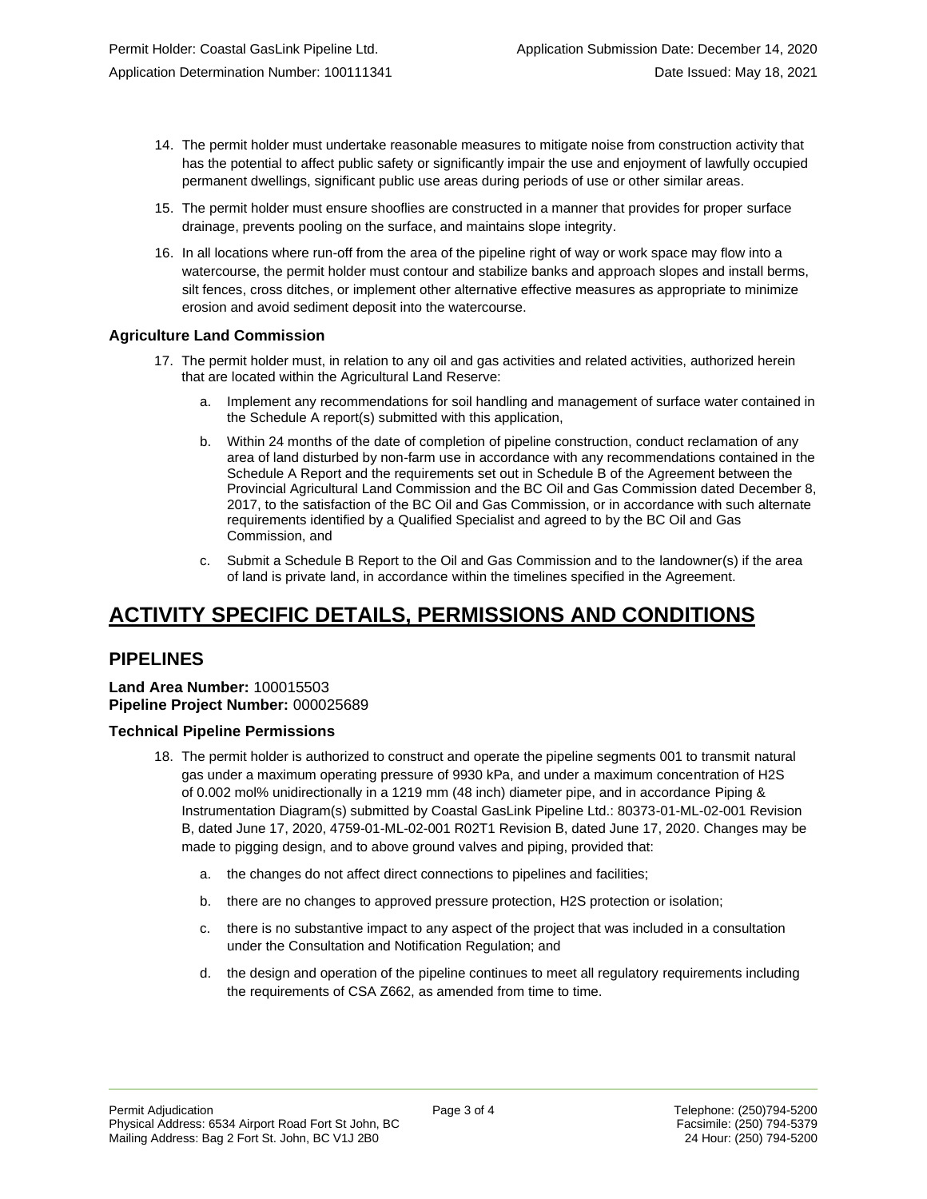- 14. The permit holder must undertake reasonable measures to mitigate noise from construction activity that has the potential to affect public safety or significantly impair the use and enjoyment of lawfully occupied permanent dwellings, significant public use areas during periods of use or other similar areas.
- 15. The permit holder must ensure shooflies are constructed in a manner that provides for proper surface drainage, prevents pooling on the surface, and maintains slope integrity.
- 16. In all locations where run-off from the area of the pipeline right of way or work space may flow into a watercourse, the permit holder must contour and stabilize banks and approach slopes and install berms, silt fences, cross ditches, or implement other alternative effective measures as appropriate to minimize erosion and avoid sediment deposit into the watercourse.

### **Agriculture Land Commission**

- 17. The permit holder must, in relation to any oil and gas activities and related activities, authorized herein that are located within the Agricultural Land Reserve:
	- a. Implement any recommendations for soil handling and management of surface water contained in the Schedule A report(s) submitted with this application,
	- b. Within 24 months of the date of completion of pipeline construction, conduct reclamation of any area of land disturbed by non-farm use in accordance with any recommendations contained in the Schedule A Report and the requirements set out in Schedule B of the Agreement between the Provincial Agricultural Land Commission and the BC Oil and Gas Commission dated December 8, 2017, to the satisfaction of the BC Oil and Gas Commission, or in accordance with such alternate requirements identified by a Qualified Specialist and agreed to by the BC Oil and Gas Commission, and
	- c. Submit a Schedule B Report to the Oil and Gas Commission and to the landowner(s) if the area of land is private land, in accordance within the timelines specified in the Agreement.

# **ACTIVITY SPECIFIC DETAILS, PERMISSIONS AND CONDITIONS**

### **PIPELINES**

#### **Land Area Number:** 100015503 **Pipeline Project Number:** 000025689

### **Technical Pipeline Permissions**

- 18. The permit holder is authorized to construct and operate the pipeline segments 001 to transmit natural gas under a maximum operating pressure of 9930 kPa, and under a maximum concentration of H2S of 0.002 mol% unidirectionally in a 1219 mm (48 inch) diameter pipe, and in accordance Piping & Instrumentation Diagram(s) submitted by Coastal GasLink Pipeline Ltd.: 80373-01-ML-02-001 Revision B, dated June 17, 2020, 4759-01-ML-02-001 R02T1 Revision B, dated June 17, 2020. Changes may be made to pigging design, and to above ground valves and piping, provided that:
	- a. the changes do not affect direct connections to pipelines and facilities;
	- b. there are no changes to approved pressure protection, H2S protection or isolation;
	- c. there is no substantive impact to any aspect of the project that was included in a consultation under the Consultation and Notification Regulation; and
	- d. the design and operation of the pipeline continues to meet all regulatory requirements including the requirements of CSA Z662, as amended from time to time.